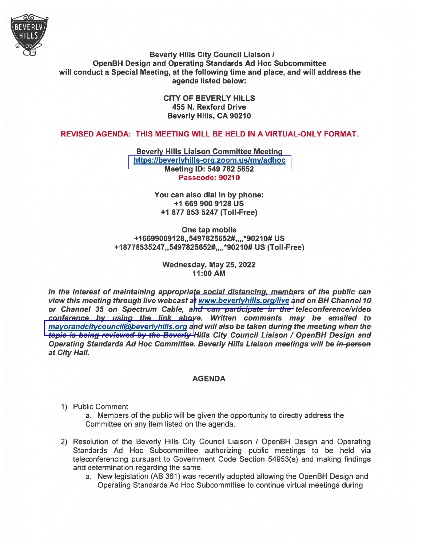

Beverly Hills City Council Liaison / OpenBH Design and Operating Standards Ad Hoc Subcommittee will conduct <sup>a</sup> Special Meeting, at the following time and place, and will address the agenda listed below:

> CITY OF BEVERLY HILLS 455 N. Rexford Drive Beverly Hills, CA 90210

# REVISED AGENDA: THIS MEETING WILL BE HELD IN A VIRTUAL-ONLY FORMAT.

Beverly Hills Liaison Committee Meeting https://beverlyhills-org.zoom.us/my/adhoc Meeting ID: 549 782 5652 Passcode: 90210

> You can also dial in by phone: +1 669 900 9128 US +1 877 853 5247 (ToIl-Free)

One tap mobile +166990091 28,,5497825652#, ,,,\*9021 0# US +1 8778535247,,5497825652#,,, ,\*9021 0# US (TolI-Free)

#### Wednesday, May 25, 2022 11:00 AM

In the interest of maintaining appropriate social distancing, members of the public can view this meeting through live webcast at <www.beverlyhills.org/live> and on BH Channel 10 or Channel 35 on Spectrum Cable, and can participate in the teleconference/video conference by using the link above. Written comments may be emailed to mayorandcitycouncil@beverlyhills.org and will also be taken during the meeting when the topic is being reviewed by the Beverly Hills City Council Liaison / OpenBH Design and Operating Standards Ad Hoc Committee. Beverly Hills Liaison meetings will be in-person at City Hall.

#### AGENDA

1) Public Comment

a. Members of the public will be given the opportunity to directly address the Committee on any item listed on the agenda.

- 2) Resolution of the Beverly Hills City Council Liaison <sup>I</sup> OpenBH Design and Operating Standards Ad Hoc Subcommittee authorizing public meetings to be held via teleconferencing pursuan<sup>t</sup> to Government Code Section 54953(e) and making findings and determination regarding the same.
	- a. New legislation (AB 361) was recently adopted allowing the OpenBH Design and Operating Standards Ad Hoc Subcommittee to continue virtual meetings during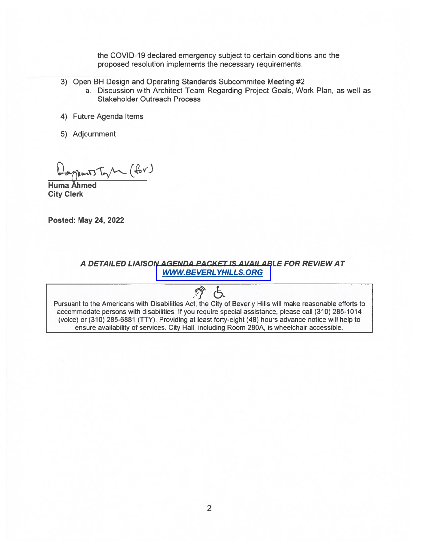the COVID-19 declared emergency subject to certain conditions and the proposed resolution implements the necessary requirements.

- 3) Open BH Design and Operating Standards Subcommitee Meeting #2
	- a. Discussion with Architect Team Regarding Project Goals, Work Plan, as well as Stakeholder Outreach Process
- 4) Future Agenda Items
- 5) Adjournment

 $mT$   $T_{\gamma}$   $(\ell_{ov})$ 

Huma Ahmed City Clerk

Posted: May 24, 2022

A DETAILED LIAISON AGENDA PACKET IS AVAILABLE FOR REVIEW AT [WWWBEVERL](www.beverlyhills.org) YHILLS. ORG

Pursuant to the Americans with Disabilities Act, the City of Beverly Hills will make reasonable efforts to accommodate persons with disabilities. If you require special assistance, please call (310) 285-1014 (voice) or (310) 285-6881 (TTY). Providing at least forty-eight (48) hours advance notice will help to ensure availability of services. City Hall, including Room 280A, is wheelchair accessible.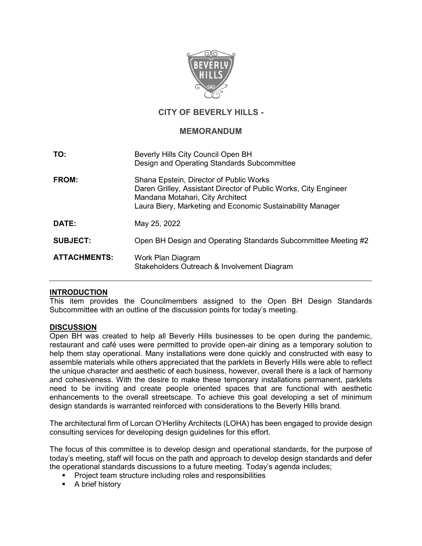

# **CITY OF BEVERLY HILLS -**

## **MEMORANDUM**

| TO:                 | Beverly Hills City Council Open BH<br>Design and Operating Standards Subcommittee                                                                                                                             |
|---------------------|---------------------------------------------------------------------------------------------------------------------------------------------------------------------------------------------------------------|
| FROM:               | Shana Epstein, Director of Public Works<br>Daren Grilley, Assistant Director of Public Works, City Engineer<br>Mandana Motahari, City Architect<br>Laura Biery, Marketing and Economic Sustainability Manager |
| DATE:               | May 25, 2022                                                                                                                                                                                                  |
| <b>SUBJECT:</b>     | Open BH Design and Operating Standards Subcommittee Meeting #2                                                                                                                                                |
| <b>ATTACHMENTS:</b> | Work Plan Diagram<br>Stakeholders Outreach & Involvement Diagram                                                                                                                                              |

## **INTRODUCTION**

This item provides the Councilmembers assigned to the Open BH Design Standards Subcommittee with an outline of the discussion points for today's meeting.

#### **DISCUSSION**

Open BH was created to help all Beverly Hills businesses to be open during the pandemic, restaurant and café uses were permitted to provide open-air dining as a temporary solution to help them stay operational. Many installations were done quickly and constructed with easy to assemble materials while others appreciated that the parklets in Beverly Hills were able to reflect the unique character and aesthetic of each business, however, overall there is a lack of harmony and cohesiveness. With the desire to make these temporary installations permanent, parklets need to be inviting and create people oriented spaces that are functional with aesthetic enhancements to the overall streetscape. To achieve this goal developing a set of minimum design standards is warranted reinforced with considerations to the Beverly Hills brand.

The architectural firm of Lorcan O'Herlihy Architects (LOHA) has been engaged to provide design consulting services for developing design guidelines for this effort.

The focus of this committee is to develop design and operational standards, for the purpose of today's meeting, staff will focus on the path and approach to develop design standards and defer the operational standards discussions to a future meeting. Today's agenda includes;

- Project team structure including roles and responsibilities
- **A** brief history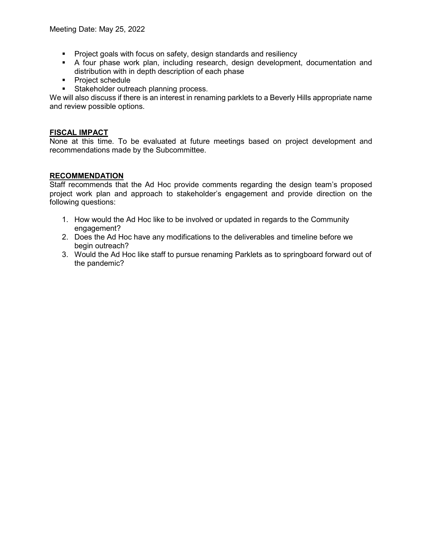- **Project goals with focus on safety, design standards and resiliency**
- A four phase work plan, including research, design development, documentation and distribution with in depth description of each phase
- **Project schedule**
- **Stakeholder outreach planning process.**

We will also discuss if there is an interest in renaming parklets to a Beverly Hills appropriate name and review possible options.

### **FISCAL IMPACT**

None at this time. To be evaluated at future meetings based on project development and recommendations made by the Subcommittee.

## **RECOMMENDATION**

Staff recommends that the Ad Hoc provide comments regarding the design team's proposed project work plan and approach to stakeholder's engagement and provide direction on the following questions:

- 1. How would the Ad Hoc like to be involved or updated in regards to the Community engagement?
- 2. Does the Ad Hoc have any modifications to the deliverables and timeline before we begin outreach?
- 3. Would the Ad Hoc like staff to pursue renaming Parklets as to springboard forward out of the pandemic?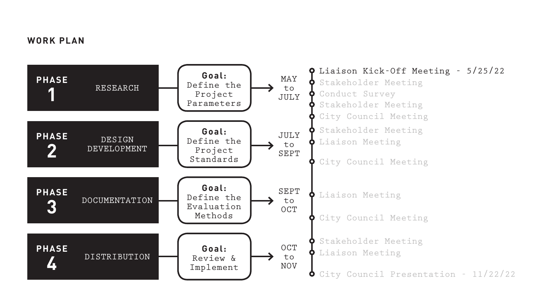# **WORK PLAN**